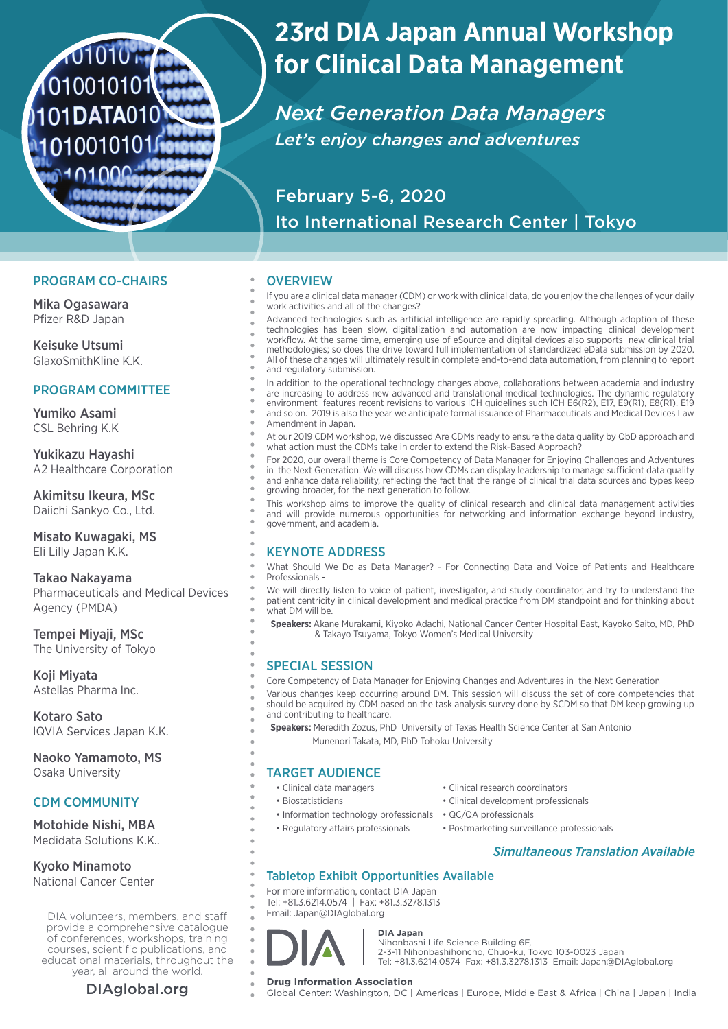# 101010 M 1010010101 101DATA010 1010010101

## **23rd DIA Japan Annual Workshop for Clinical Data Management**

*Next Generation Data Managers Let's enjoy changes and adventures*

## February 5-6, 2020 Ito International Research Center | Tokyo

## PROGRAM CO-CHAIRS

Mika Ogasawara Pfizer R&D Japan

Keisuke Utsumi GlaxoSmithKline K.K.

## PROGRAM COMMITTEE

Yumiko Asami CSL Behring K.K

Yukikazu Hayashi A2 Healthcare Corporation

Akimitsu Ikeura, MSc Daiichi Sankyo Co., Ltd.

Misato Kuwagaki, MS Eli Lilly Japan K.K.

Takao Nakayama Pharmaceuticals and Medical Devices Agency (PMDA)

Tempei Miyaji, MSc The University of Tokyo

Koji Miyata Astellas Pharma Inc.

Kotaro Sato IQVIA Services Japan K.K.

Naoko Yamamoto, MS Osaka University

## CDM COMMUNITY

Motohide Nishi, MBA Medidata Solutions K.K..

Kyoko Minamoto National Cancer Center

DIA volunteers, members, and staff provide a comprehensive catalogue of conferences, workshops, training courses, scientific publications, and educational materials, throughout the year, all around the world.

#### **OVERVIEW**

If you are a clinical data manager (CDM) or work with clinical data, do you enjoy the challenges of your daily work activities and all of the changes?

Advanced technologies such as artificial intelligence are rapidly spreading. Although adoption of these technologies has been slow, digitalization and automation are now impacting clinical development workflow. At the same time, emerging use of eSource and digital devices also supports new clinical trial methodologies; so does the drive toward full implementation of standardized eData submission by 2020. All of these changes will ultimately result in complete end-to-end data automation, from planning to report and regulatory submission.

In addition to the operational technology changes above, collaborations between academia and industry are increasing to address new advanced and translational medical technologies. The dynamic regulatory environment features recent revisions to various ICH guidelines such ICH E6(R2), E17, E9(R1), E8(R1), E19 and so on. 2019 is also the year we anticipate formal issuance of Pharmaceuticals and Medical Devices Law Amendment in Japan.

At our 2019 CDM workshop, we discussed Are CDMs ready to ensure the data quality by QbD approach and what action must the CDMs take in order to extend the Risk-Based Approach?

For 2020, our overall theme is Core Competency of Data Manager for Enjoying Challenges and Adventures in the Next Generation. We will discuss how CDMs can display leadership to manage sufficient data quality and enhance data reliability, reflecting the fact that the range of clinical trial data sources and types keep growing broader, for the next generation to follow.

This workshop aims to improve the quality of clinical research and clinical data management activities and will provide numerous opportunities for networking and information exchange beyond industry, government, and academia.

## KEYNOTE ADDRESS

What Should We Do as Data Manager? - For Connecting Data and Voice of Patients and Healthcare Professionals

We will directly listen to voice of patient, investigator, and study coordinator, and try to understand the patient centricity in clinical development and medical practice from DM standpoint and for thinking about what DM will be.

 **Speakers:** Akane Murakami, Kiyoko Adachi, National Cancer Center Hospital East, Kayoko Saito, MD, PhD & Takayo Tsuyama, Tokyo Women's Medical University

## SPECIAL SESSION

Core Competency of Data Manager for Enjoying Changes and Adventures in the Next Generation Various changes keep occurring around DM. This session will discuss the set of core competencies that should be acquired by CDM based on the task analysis survey done by SCDM so that DM keep growing up and contributing to healthcare.

 **Speakers:** Meredith Zozus, PhD University of Texas Health Science Center at San Antonio Munenori Takata, MD, PhD Tohoku University

## TARGET AUDIENCE

- 
- 
- Information technology professionals QC/QA professionals
- 
- Clinical data managers Clinical research coordinators
- Biostatisticians Clinical development professionals
	-
- Regulatory affairs professionals Postmarketing surveillance professionals

## *Simultaneous Translation Available*

## Tabletop Exhibit Opportunities Available

For more information, contact DIA Japan Tel: +81.3.6214.0574 | Fax: +81.3.3278.1313 Email: Japan@DIAglobal.org



## **DIA Japan**

Nihonbashi Life Science Building 6F, 2-3-11 Nihonbashihoncho, Chuo-ku, Tokyo 103-0023 Japan Tel: +81.3.6214.0574 Fax: +81.3.3278.1313 Email: Japan@DIAglobal.org

**DIAglobal.org Drug Information Association**<br>
Global Center: Washington, DC | Americas | Europe, Middle East & Africa | China | Japan | India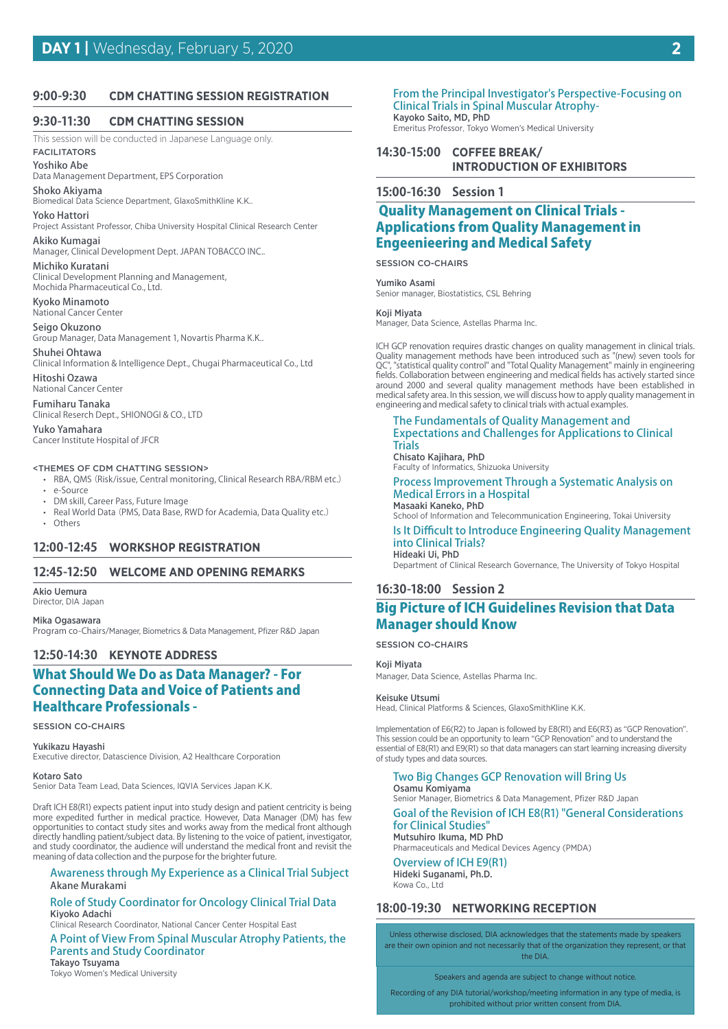#### **9:00-9:30 CDM CHATTING SESSION REGISTRATION**

#### **9:30-11:30 CDM CHATTING SESSION**

This session will be conducted in Japanese Language only.

## FACILITATORS

Yoshiko Abe Data Management Department, EPS Corporation

Shoko Akiyama Biomedical Data Science Department, GlaxoSmithKline K.K..

#### Yoko Hattori

Project Assistant Professor, Chiba University Hospital Clinical Research Center Akiko Kumagai

Manager, Clinical Development Dept. JAPAN TOBACCO INC..

#### Michiko Kuratani

Clinical Development Planning and Management, Mochida Pharmaceutical Co., Ltd.

Kyoko Minamoto National Cancer Center

#### Seigo Okuzono

Group Manager, Data Management 1, Novartis Pharma K.K..

## Shuhei Ohtawa

Clinical Information & Intelligence Dept., Chugai Pharmaceutical Co., Ltd Hitoshi Ozawa

National Cancer Center

Fumiharu Tanaka Clinical Reserch Dept., SHIONOGI & CO., LTD

Yuko Yamahara Cancer Institute Hospital of JFCR

#### <THEMES OF CDM CHATTING SESSION>

- RBA, QMS (Risk/issue, Central monitoring, Clinical Research RBA/RBM etc.) • e-Source
- DM skill, Career Pass, Future Image
- Real World Data(PMS, Data Base, RWD for Academia, Data Quality etc.)
- Others

#### **12:00-12:45 WORKSHOP REGISTRATION**

#### **12:45-12:50 WELCOME AND OPENING REMARKS**

Akio Uemura Director, DIA Japan

Mika Ogasawara Program co-Chairs/Manager, Biometrics & Data Management, Pfizer R&D Japan

#### **12:50-14:30 KEYNOTE ADDRESS**

## What Should We Do as Data Manager? - For Connecting Data and Voice of Patients and Healthcare Professionals -

#### SESSION CO-CHAIRS

Yukikazu Hayashi

Executive director, Datascience Division, A2 Healthcare Corporation

#### Kotaro Sato

Senior Data Team Lead, Data Sciences, IQVIA Services Japan K.K.

Draft ICH E8(R1) expects patient input into study design and patient centricity is being more expedited further in medical practice. However, Data Manager (DM) has few opportunities to contact study sites and works away from the medical front although directly handling patient/subject data. By listening to the voice of patient, investigator, and study coordinator, the audience will understand the medical front and revisit the meaning of data collection and the purpose for the brighter future.

#### Awareness through My Experience as a Clinical Trial Subject Akane Murakami

#### Role of Study Coordinator for Oncology Clinical Trial Data Kiyoko Adachi

Clinical Research Coordinator, National Cancer Center Hospital East

A Point of View From Spinal Muscular Atrophy Patients, the Parents and Study Coordinator

#### Takayo Tsuyama Tokyo Women's Medical University

From the Principal Investigator's Perspective-Focusing on Clinical Trials in Spinal Muscular Atrophy-Kayoko Saito, MD, PhD

Emeritus Professor, Tokyo Women's Medical University

**14:30-15:00 COFFEE BREAK/ INTRODUCTION OF EXHIBITORS**

#### **15:00-16:30 Session 1**

## Quality Management on Clinical Trials - Applications from Quality Management in Engeenieering and Medical Safety

SESSION CO-CHAIRS

Yumiko Asami

Senior manager, Biostatistics, CSL Behring

#### Koji Miyata

Manager, Data Science, Astellas Pharma Inc.

ICH GCP renovation requires drastic changes on quality management in clinical trials. Quality management methods have been introduced such as "(new) seven tools for QC", "statistical quality control" and "Total Quality Management" mainly in engineering fields. Collaboration between engineering and medical fields has actively started since around 2000 and several quality management methods have been established in medical safety area. In this session, we will discuss how to apply quality management in engineering and medical safety to clinical trials with actual examples.

#### The Fundamentals of Quality Management and Expectations and Challenges for Applications to Clinical **Trials**

Chisato Kajihara, PhD Faculty of Informatics, Shizuoka University

Process Improvement Through a Systematic Analysis on Medical Errors in a Hospital Masaaki Kaneko, PhD

School of Information and Telecommunication Engineering, Tokai University

Is It Difficult to Introduce Engineering Quality Management into Clinical Trials? Hideaki Ui, PhD

Department of Clinical Research Governance, The University of Tokyo Hospital

#### **16:30-18:00 Session 2**

## Big Picture of ICH Guidelines Revision that Data Manager should Know

#### SESSION CO-CHAIRS

Koji Miyata

Manager, Data Science, Astellas Pharma Inc.

#### Keisuke Utsumi

Head, Clinical Platforms & Sciences, GlaxoSmithKline K.K.

Implementation of E6(R2) to Japan is followed by E8(R1) and E6(R3) as "GCP Renovation". This session could be an opportunity to learn "GCP Renovation" and to understand the essential of E8(R1) and E9(R1) so that data managers can start learning increasing diversity of study types and data sources.

#### Two Big Changes GCP Renovation will Bring Us Osamu Komiyama

Senior Manager, Biometrics & Data Management, Pfizer R&D Japan

#### Goal of the Revision of ICH E8(R1) "General Considerations for Clinical Studies"

Mutsuhiro Ikuma, MD PhD Pharmaceuticals and Medical Devices Agency (PMDA)

#### Overview of ICH E9(R1) Hideki Suganami, Ph.D. Kowa Co., Ltd

## **18:00-19:30 NETWORKING RECEPTION**

Unless otherwise disclosed, DIA acknowledges that the statements made by speakers are their own opinion and not necessarily that of the organization they represent, or that the DIA.

Speakers and agenda are subject to change without notice.

Recording of any DIA tutorial/workshop/meeting information in any type of media, is prohibited without prior written consent from DIA.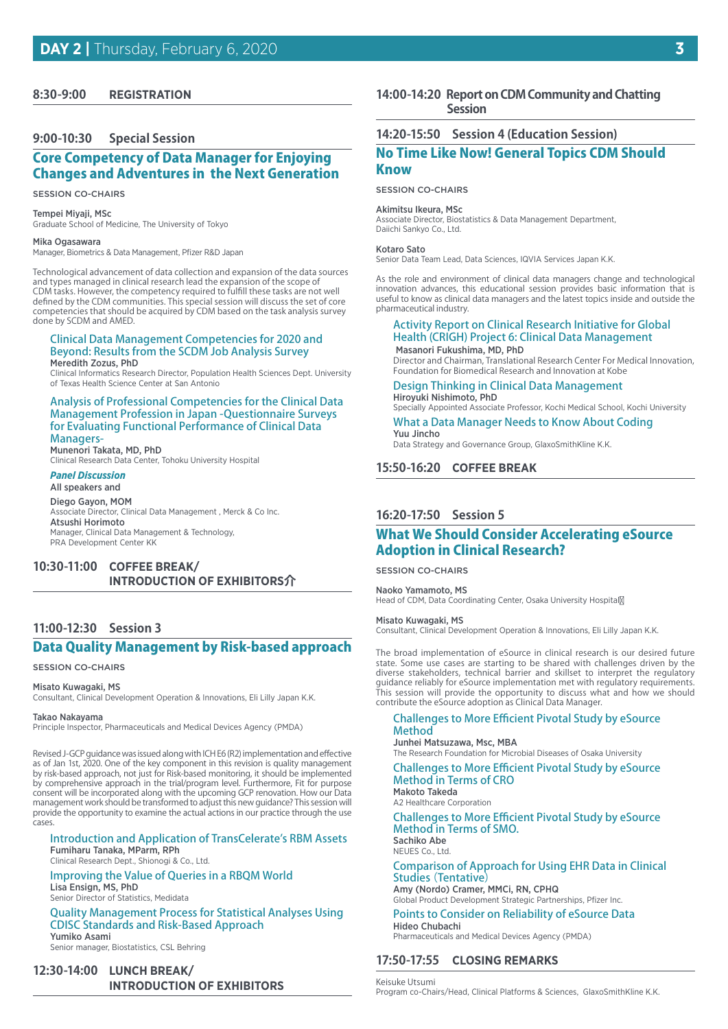#### **8:30-9:00 REGISTRATION**

#### **9:00-10:30 Special Session**

## Core Competency of Data Manager for Enjoying Changes and Adventures in the Next Generation

#### SESSION CO-CHAIRS

#### Tempei Miyaji, MSc

Graduate School of Medicine, The University of Tokyo

#### Mika Ogasawara

Manager, Biometrics & Data Management, Pfizer R&D Japan

Technological advancement of data collection and expansion of the data sources and types managed in clinical research lead the expansion of the scope of CDM tasks. However, the competency required to fulfill these tasks are not well defined by the CDM communities. This special session will discuss the set of core competencies that should be acquired by CDM based on the task analysis survey done by SCDM and AMED.

#### Clinical Data Management Competencies for 2020 and Beyond: Results from the SCDM Job Analysis Survey Meredith Zozus, PhD

Clinical Informatics Research Director, Population Health Sciences Dept. University of Texas Health Science Center at San Antonio

#### Analysis of Professional Competencies for the Clinical Data Management Profession in Japan -Questionnaire Surveys for Evaluating Functional Performance of Clinical Data **Managers-**Munenori Takata, MD, PhD

Clinical Research Data Center, Tohoku University Hospital

#### *Panel Discussion* All speakers and

Diego Gayon, MOM Associate Director, Clinical Data Management , Merck & Co Inc. Atsushi Horimoto Manager, Clinical Data Management & Technology, PRA Development Center KK

## **10:30-11:00 COFFEE BREAK/ INTRODUCTION OF EXHIBITORS介**

#### **11:00-12:30 Session 3**

## Data Quality Management by Risk-based approach

#### SESSION CO-CHAIRS

#### Misato Kuwagaki, MS

Consultant, Clinical Development Operation & Innovations, Eli Lilly Japan K.K.

#### Takao Nakayama

Principle Inspector, Pharmaceuticals and Medical Devices Agency (PMDA)

Revised J-GCP guidance was issued along with ICH E6 (R2) implementation and effective as of Jan 1st, 2020. One of the key component in this revision is quality management by risk-based approach, not just for Risk-based monitoring, it should be implemented by comprehensive approach in the trial/program level. Furthermore, Fit for purpose consent will be incorporated along with the upcoming GCP renovation. How our Data management work should be transformed to adjust this new guidance? This session will provide the opportunity to examine the actual actions in our practice through the use cases.

#### Introduction and Application of TransCelerate's RBM Assets Fumiharu Tanaka, MParm, RPh

Clinical Research Dept., Shionogi & Co., Ltd.

### Improving the Value of Queries in a RBQM World Lisa Ensign, MS, PhD

Senior Director of Statistics, Medidata

#### Quality Management Process for Statistical Analyses Using CDISC Standards and Risk-Based Approach Yumiko Asami

Senior manager, Biostatistics, CSL Behring

## **12:30-14:00 LUNCH BREAK/ INTRODUCTION OF EXHIBITORS**

#### 14:00-14:20 Report on CDM Community and Chatting  **Session**

#### **14:20-15:50 Session 4 (Education Session)**

## No Time Like Now! General Topics CDM Should Know

#### SESSION CO-CHAIRS

Akimitsu Ikeura, MSc Associate Director, Biostatistics & Data Management Department, Daiichi Sankyo Co., Ltd.

#### Kotaro Sato

Senior Data Team Lead, Data Sciences, IQVIA Services Japan K.K.

As the role and environment of clinical data managers change and technological innovation advances, this educational session provides basic information that is useful to know as clinical data managers and the latest topics inside and outside the pharmaceutical industry.

#### Activity Report on Clinical Research Initiative for Global Health (CRIGH) Project 6: Clinical Data Management Masanori Fukushima, MD, PhD

Director and Chairman, Translational Research Center For Medical Innovation, Foundation for Biomedical Research and Innovation at Kobe

#### Design Thinking in Clinical Data Management Hiroyuki Nishimoto, PhD

Specially Appointed Associate Professor, Kochi Medical School, Kochi University

#### What a Data Manager Needs to Know About Coding Yuu Jincho

Data Strategy and Governance Group, GlaxoSmithKline K.K.

#### **15:50-16:20 COFFEE BREAK**

## **16:20-17:50 Session 5**

## What We Should Consider Accelerating eSource Adoption in Clinical Research?

SESSION CO-CHAIRS

#### Naoko Yamamoto, MS Head of CDM, Data Coordinating Center, Osaka University Hospital

#### Misato Kuwagaki, MS

Consultant, Clinical Development Operation & Innovations, Eli Lilly Japan K.K.

The broad implementation of eSource in clinical research is our desired future state. Some use cases are starting to be shared with challenges driven by the diverse stakeholders, technical barrier and skillset to interpret the regulatory guidance reliably for eSource implementation met with regulatory requirements. This session will provide the opportunity to discuss what and how we should contribute the eSource adoption as Clinical Data Manager.

#### Challenges to More Efficient Pivotal Study by eSource Method

#### Junhei Matsuzawa, Msc, MBA The Research Foundation for Microbial Diseases of Osaka University

Challenges to More Efficient Pivotal Study by eSource

#### Method in Terms of CRO Makoto Takeda

A2 Healthcare Corporation

### Challenges to More Efficient Pivotal Study by eSource Method in Terms of SMO.

Sachiko Abe NEUES Co., Ltd.

#### Comparison of Approach for Using EHR Data in Clinical Studies (Tentative)

Amy (Nordo) Cramer, MMCi, RN, CPHQ Global Product Development Strategic Partnerships, Pfizer Inc.

#### Points to Consider on Reliability of eSource Data

Hideo Chubachi Pharmaceuticals and Medical Devices Agency (PMDA)

#### **17:50-17:55 CLOSING REMARKS**

Keisuke Utsumi Program co-Chairs/Head, Clinical Platforms & Sciences, GlaxoSmithKline K.K.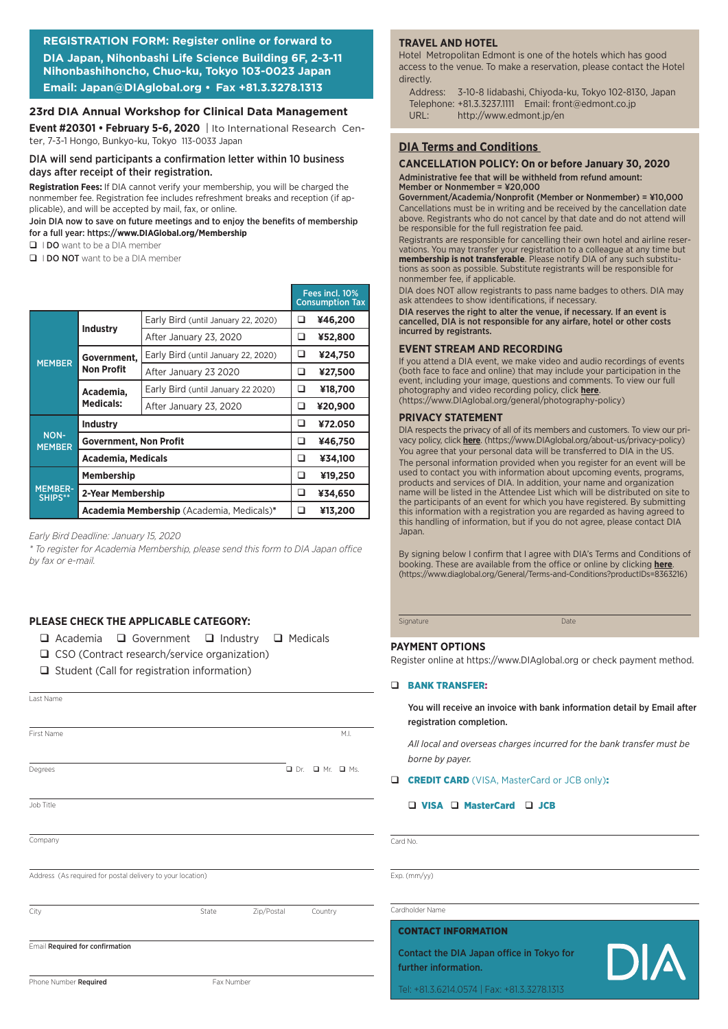## **REGISTRATION FORM: Register online or forward to DIA Japan, Nihonbashi Life Science Building 6F, 2-3-11 Nihonbashihoncho, Chuo-ku, Tokyo 103-0023 Japan Email: Japan@DIAglobal.org • Fax +81.3.3278.1313**

#### **23rd DIA Annual Workshop for Clinical Data Management**

**Event #20301 • February 5-6, 2020** | Ito International Research Center, 7-3-1 Hongo, Bunkyo-ku, Tokyo 113-0033 Japan

#### DIA will send participants a confirmation letter within 10 business days after receipt of their registration.

**Registration Fees:** If DIA cannot verify your membership, you will be charged the nonmember fee. Registration fee includes refreshment breaks and reception (if applicable), and will be accepted by mail, fax, or online.

#### Join DIA now to save on future meetings and to enjoy the benefits of membership for a full year: https://**www.DIAGlobal.org/Membership**

 $\Box$  I DO want to be a DIA member

**Q** I DO NOT want to be a DIA member

|                           |                               |                                           |   | Fees incl. 10%<br><b>Consumption Tax</b> |
|---------------------------|-------------------------------|-------------------------------------------|---|------------------------------------------|
|                           |                               | Early Bird (until January 22, 2020)       | ⊔ | ¥46,200                                  |
|                           | <b>Industry</b>               | After January 23, 2020                    | □ | ¥52,800                                  |
| <b>MEMBER</b>             | Government,                   | Early Bird (until January 22, 2020)       | ❏ | ¥24,750                                  |
|                           | <b>Non Profit</b>             | After January 23 2020                     | ❏ | ¥27,500                                  |
|                           | Academia,<br><b>Medicals:</b> | Early Bird (until January 22 2020)        | ❏ | ¥18,700                                  |
|                           |                               | After January 23, 2020                    | ❏ | ¥20,900                                  |
|                           | <b>Industry</b>               |                                           | ❏ | ¥72.050                                  |
| NON-<br><b>MEMBER</b>     | <b>Government, Non Profit</b> |                                           |   | ¥46,750                                  |
|                           | <b>Academia, Medicals</b>     |                                           |   | ¥34,100                                  |
|                           | <b>Membership</b>             |                                           |   | ¥19,250                                  |
| <b>MEMBER-</b><br>SHIPS** | 2-Year Membership             |                                           |   | ¥34,650                                  |
|                           |                               | Academia Membership (Academia, Medicals)* | □ | ¥13,200                                  |

*Early Bird Deadline: January 15, 2020*

*\* To register for Academia Membership, please send this form to DIA Japan office by fax or e-mail.*

#### **PLEASE CHECK THE APPLICABLE CATEGORY:**

 $\Box$  Academia  $\Box$  Government  $\Box$  Industry  $\Box$  Medicals

- $\Box$  CSO (Contract research/service organization)
- $\Box$  Student (Call for registration information)

| Last Name                                                  |            |            |                                  |
|------------------------------------------------------------|------------|------------|----------------------------------|
|                                                            |            |            |                                  |
| First Name                                                 |            |            | M.I.                             |
|                                                            |            |            |                                  |
| Degrees                                                    |            |            | $\Box$ Dr. $\Box$ Mr. $\Box$ Ms. |
|                                                            |            |            |                                  |
| Job Title                                                  |            |            |                                  |
|                                                            |            |            |                                  |
| Company                                                    |            |            |                                  |
|                                                            |            |            |                                  |
| Address (As required for postal delivery to your location) |            |            |                                  |
|                                                            |            |            |                                  |
| City                                                       | State      | Zip/Postal | Country                          |
|                                                            |            |            |                                  |
| Email Required for confirmation                            |            |            |                                  |
|                                                            |            |            |                                  |
| Phone Number Required                                      | Fax Number |            |                                  |

#### **TRAVEL AND HOTEL**

Hotel Metropolitan Edmont is one of the hotels which has good access to the venue. To make a reservation, please contact the Hotel directly.

Address: 3-10-8 Iidabashi, Chiyoda-ku, Tokyo 102-8130, Japan Telephone: +81.3.3237.1111 Email: front@edmont.co.jp URL: http://www.edmont.jp/en

### **DIA Terms and Conditions**

## **CANCELLATION POLICY: On or before January 30, 2020**

Administrative fee that will be withheld from refund amount: Member or Nonmember = ¥20,000

Government/Academia/Nonprofit (Member or Nonmember) = ¥10,000 Cancellations must be in writing and be received by the cancellation date above. Registrants who do not cancel by that date and do not attend will be responsible for the full registration fee paid.

Registrants are responsible for cancelling their own hotel and airline reservations. You may transfer your registration to a colleague at any time but **membership is not transferable**. Please notify DIA of any such substitutions as soon as possible. Substitute registrants will be responsible for nonmember fee, if applicable.

DIA does NOT allow registrants to pass name badges to others. DIA may ask attendees to show identifications, if necessary.

DIA reserves the right to alter the venue, if necessary. If an event is cancelled, DIA is not responsible for any airfare, hotel or other costs incurred by registrants.

#### **EVENT STREAM AND RECORDING**

If you attend a DIA event, we make video and audio recordings of events (both face to face and online) that may include your participation in the event, including your image, questions and comments. To view our full photography and video recording policy, click **here**. (https://www.DIAglobal.org/general/photography-policy)

#### **PRIVACY STATEMENT**

DIA respects the privacy of all of its members and customers. To view our privacy policy, click **here**. (https://www.DIAglobal.org/about-us/privacy-policy) You agree that your personal data will be transferred to DIA in the US.

The personal information provided when you register for an event will be used to contact you with information about upcoming events, programs, products and services of DIA. In addition, your name and organization name will be listed in the Attendee List which will be distributed on site to the participants of an event for which you have registered. By submitting this information with a registration you are regarded as having agreed to this handling of information, but if you do not agree, please contact DIA Japan.

By signing below I confirm that I agree with DIA's Terms and Conditions of booking. These are available from the office or online by clicking **here**. (https://www.diaglobal.org/General/Terms-and-Conditions?productIDs=8363216)

Signature Date

#### **PAYMENT OPTIONS**

Register online at https://www.DIAglobal.org or check payment method.

#### q BANK TRANSFER:

You will receive an invoice with bank information detail by Email after registration completion.

*All local and overseas charges incurred for the bank transfer must be borne by payer.*

#### **Q CREDIT CARD** (VISA, MasterCard or JCB only):

#### □ VISA □ MasterCard □ JCB

Card No.

Exp. (mm/yy)

#### Cardholder Name

#### CONTACT INFORMATION

Contact the DIA Japan office in Tokyo for further information.



Tel: +81.3.6214.0574 | Fax: +81.3.3278.1313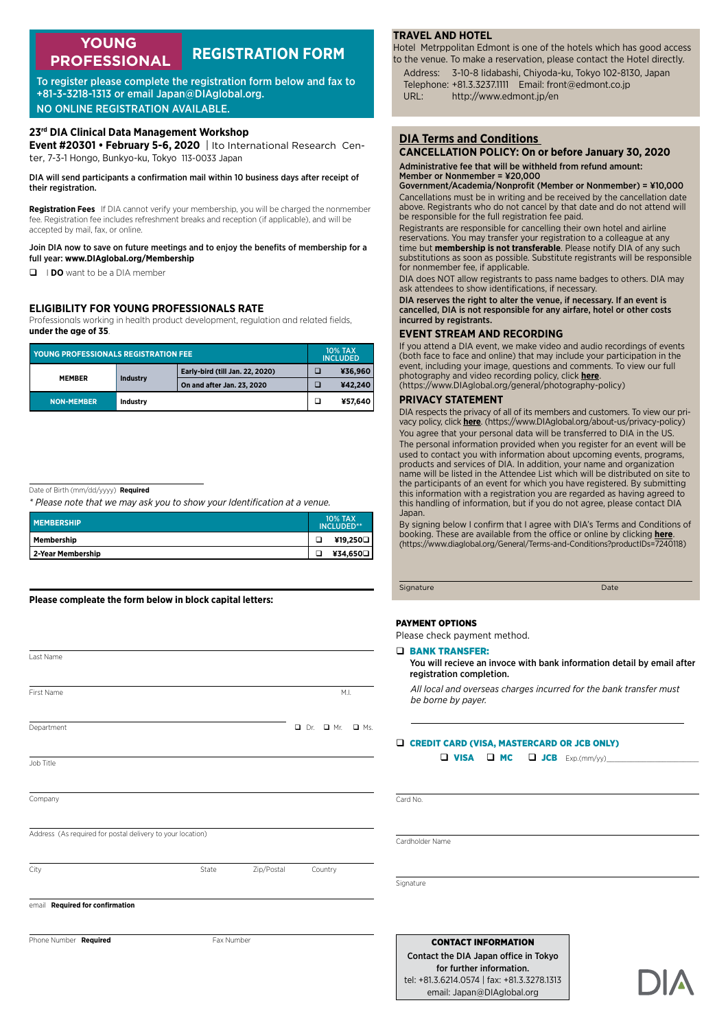#### **REGISTRATION FORM YOUNG PROFESSIONAL**

To register please complete the registration form below and fax to +81-3-3218-1313 or email Japan@DIAglobal.org. NO ONLINE REGISTRATION AVAILABLE.

#### **23rd DIA Clinical Data Management Workshop**

**Event #20301 • February 5-6, 2020** | Ito International Research Center, 7-3-1 Hongo, Bunkyo-ku, Tokyo 113-0033 Japan

DIA will send participants a confirmation mail within 10 business days after receipt of their registration.

**Registration Fees**  If DIA cannot verify your membership, you will be charged the nonmember fee. Registration fee includes refreshment breaks and reception (if applicable), and will be accepted by mail, fax, or online.

#### Join DIA now to save on future meetings and to enjoy the benefits of membership for a full year: **www.DIAglobal.org/Membership**

**D IDO** want to be a DIA member

#### **ELIGIBILITY FOR YOUNG PROFESSIONALS RATE**

Professionals working in health product development, regulation and related fields, **under the age of 35**.

| <b>YOUNG PROFESSIONALS REGISTRATION FEE</b> |                 |                                 |  | <b>10% TAX</b><br><b>INCLUDED</b> |  |
|---------------------------------------------|-----------------|---------------------------------|--|-----------------------------------|--|
| <b>MEMBER</b>                               |                 | Early-bird (till Jan. 22, 2020) |  | ¥36.960                           |  |
|                                             | <b>Industry</b> | On and after Jan. 23, 2020      |  | ¥42.240                           |  |
| <b>NON-MEMBER</b>                           | Industry        |                                 |  | ¥57.640                           |  |

Date of Birth (mm/dd/yyyy) **Required**

*\* Please note that we may ask you to show your Identification at a venue.*

| <b>MEMBERSHIP</b> | <b>10% TAX</b><br>INCLUDED** |          |
|-------------------|------------------------------|----------|
| Membership        |                              | ¥19,250□ |
| 2-Year Membership |                              | ¥34,650□ |

**Please compleate the form below in block capital letters:**

| Last Name                                                  |            |            |                 |            |
|------------------------------------------------------------|------------|------------|-----------------|------------|
|                                                            |            |            |                 |            |
|                                                            |            |            |                 |            |
| First Name                                                 |            |            | M.I.            |            |
|                                                            |            |            |                 |            |
| Department                                                 |            |            | $D$ Dr. $D$ Mr. | $\Box$ Ms. |
|                                                            |            |            |                 |            |
| Job Title                                                  |            |            |                 |            |
|                                                            |            |            |                 |            |
| Company                                                    |            |            |                 |            |
|                                                            |            |            |                 |            |
| Address (As required for postal delivery to your location) |            |            |                 |            |
|                                                            |            |            |                 |            |
| City                                                       | State      | Zip/Postal | Country         |            |
|                                                            |            |            |                 |            |
| email Required for confirmation                            |            |            |                 |            |
|                                                            |            |            |                 |            |
| Phone Number Required                                      | Fax Number |            |                 |            |
|                                                            |            |            |                 |            |

#### **TRAVEL AND HOTEL**

Hotel Metrppolitan Edmont is one of the hotels which has good access to the venue. To make a reservation, please contact the Hotel directly.

Address: 3-10-8 Iidabashi, Chiyoda-ku, Tokyo 102-8130, Japan Telephone: +81.3.3237.1111 Email: front@edmont.co.jp URL: http://www.edmont.jp/en

#### **DIA Terms and Conditions**

#### **CANCELLATION POLICY: On or before January 30, 2020** Administrative fee that will be withheld from refund amount: Member or Nonmember = ¥20,000

Government/Academia/Nonprofit (Member or Nonmember) = ¥10,000 Cancellations must be in writing and be received by the cancellation date above. Registrants who do not cancel by that date and do not attend will be responsible for the full registration fee paid.

Registrants are responsible for cancelling their own hotel and airline reservations. You may transfer your registration to a colleague at any time but **membership is not transferable**. Please notify DIA of any such substitutions as soon as possible. Substitute registrants will be responsible for nonmember fee, if applicable.

DIA does NOT allow registrants to pass name badges to others. DIA may ask attendees to show identifications, if necessary.

DIA reserves the right to alter the venue, if necessary. If an event is cancelled, DIA is not responsible for any airfare, hotel or other costs incurred by registrants.

#### **EVENT STREAM AND RECORDING**

If you attend a DIA event, we make video and audio recordings of events (both face to face and online) that may include your participation in the event, including your image, questions and comments. To view our full photography and video recording policy, click **here**. (https://www.DIAglobal.org/general/photography-policy)

#### **PRIVACY STATEMENT**

DIA respects the privacy of all of its members and customers. To view our privacy policy, click **here**. (https://www.DIAglobal.org/about-us/privacy-policy) You agree that your personal data will be transferred to DIA in the US. The personal information provided when you register for an event will be used to contact you with information about upcoming events, programs, products and services of DIA. In addition, your name and organization name will be listed in the Attendee List which will be distributed on site to the participants of an event for which you have registered. By submitting this information with a registration you are regarded as having agreed to this handling of information, but if you do not agree, please contact DIA Japan.

By signing below I confirm that I agree with DIA's Terms and Conditions of booking. These are available from the office or online by clicking **here**. (https://www.diaglobal.org/General/Terms-and-Conditions?productIDs=7240118)

Signature Date

#### PAYMENT OPTIONS

Please check payment method.

#### D BANK TRANSFER:

You will recieve an invoce with bank information detail by email after registration completion.

*All local and overseas charges incurred for the bank transfer must be borne by payer.*

#### Q CREDIT CARD (VISA, MASTERCARD OR JCB ONLY)

 $\Box$  VISA  $\Box$  MC  $\Box$  JCB  $Exp.(mm/yy)$ 

Card No.

Cardholder Name

Signature

CONTACT INFORMATION Contact the DIA Japan office in Tokyo for further information. tel: +81.3.6214.0574 | fax: +81.3.3278.1313 email: Japan@DIAglobal.org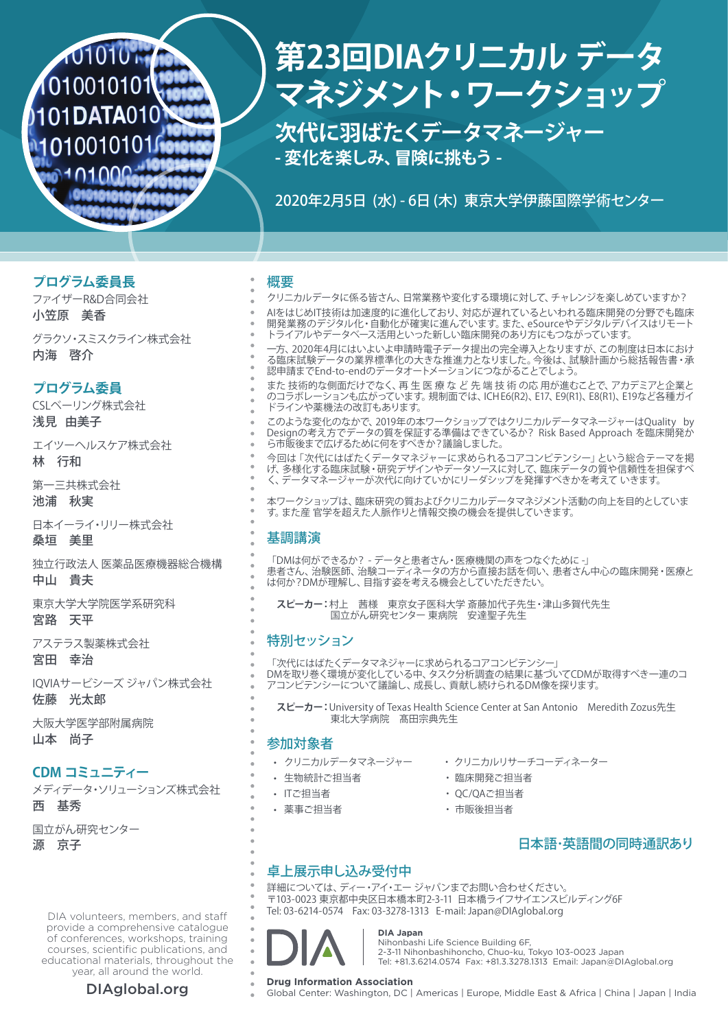# 101010 M 1010010101 101DATA010 10100101010

# **第23回DIAクリニカル データ マネジメント・ワークショップ**

**次代に羽ばたくデータマネージャー - 変化を楽しみ、冒険に挑もう -**

2020年2月5日 (水) - 6日 (木) 東京大学伊藤国際学術センター

## **プログラム委員長**

ファイザーR&D合同会社 小笠原 美香

グラクソ・スミスクライン株式会社 内海 啓介

## **プログラム委員**

CSLベーリング株式会社 浅見 由美子

エイツーヘルスケア株式会社 林 行和

第一三共株式会社 池浦 秋実

日本イーライ・リリー株式会社 桑垣 美里

独立行政法人 医薬品医療機器総合機構 中山 貴夫

東京大学大学院医学系研究科 宮路 天平

アステラス製薬株式会社 宮田 幸治

IQVIAサービシーズ ジャパン株式会社 佐藤 光太郎

大阪大学医学部附属病院 山本 尚子

## **CDM コミュニティー**

メディデータ・ソリューションズ株式会社 西 基秀

国立がん研究センター

源 京子

DIA volunteers, members, and staff provide a comprehensive catalogue of conferences, workshops, training courses, scientific publications, and educational materials, throughout the year, all around the world.

### 概要

クリニカルデータに係る皆さん、日常業務や変化する環境に対して、チャレンジを楽しめていますか? AIをはじめIT技術は加速度的に進化しており、対応が遅れているといわれる臨床開発の分野でも臨床 開発業務のデジタル化・自動化が確実に進んでいます。また、eSourceやデジタルデバイスはリモート トライアルやデータベース活用といった新しい臨床開発のあり方にもつながっています。

一方、2020年4月にはいよいよ申請時電子データ提出の完全導入となりますが、この制度は日本におけ る臨床試験データの業界標準化の大きな推進力となりました。今後は、試験計画から総括報告書・承 認申請までEnd-to-endのデータオートメーションにつながることでしょう。

また 技術的な側面だけでなく、再 生 医 療 な ど 先 端 技 術 の応 用が進むことで、アカデミアと企業と のコラボレーションも広がっています。規制面では、ICH E6(R2)、E17、E9(R1)、E8(R1)、E19など各種ガイ ドラインや薬機法の改訂もあります。

このような変化のなかで、2019年の本ワークショップではクリニカルデータマネージャーはQuality by Designの考え方でデータの質を保証する準備はできているか? Risk Based Approach を臨床開発か ら市販後まで広げるために何をすべきか?議論しました。

今回は「次代にはばたくデータマネジャーに求められるコアコンピテンシー」という総合テーマを掲 げ、多様化する臨床試験・研究デザインやデータソースに対して、臨床データの質や信頼性を担保すべ く、データマネージャーが次代に向けていかにリーダシップを発揮すべきかを考えて いきます。

本ワークショップは、臨床研究の質およびクリニカルデータマネジメント活動の向上を目的としていま す。また産 官学を超えた人脈作りと情報交換の機会を提供していきます。

## 基調講演

「DMは何ができるか? - データと患者さん・医療機関の声をつなぐために -」 患者さん、治験医師、治験コーディネータの方から直接お話を伺い、患者さん中心の臨床開発・医療と は何か?DMが理解し、目指す姿を考える機会としていただきたい。

**スピーカー:**村上 茜様 東京女子医科大学 斎藤加代子先生・津山多賀代先生 国立がん研究センター 東病院 安達聖子先生

## 特別セッション

「次代にはばたくデータマネジャーに求められるコアコンピテンシー」 DMを取り巻く環境が変化している中、タスク分析調査の結果に基づいてCDMが取得すべき一連のコ アコンピテンシーについて議論し、成長し、貢献し続けられるDM像を探ります。

**スピーカー:**University of Texas Health Science Center at San Antonio Meredith Zozus先生 東北大学病院 髙田宗典先生

## 参加対象者

- 
- 生物統計ご担当者 ・ 臨床開発ご担当者
- 
- 薬事ご担当者 ・ 市販後担当者
- クリニカルデータマネージャー ・ クリニカルリサーチコーディネーター
	-
- ITご担当者 インディー マイクリック トランド・トラック しょうしょう
	-

## 日本語・英語間の同時通訳あり

## 卓上展示申し込み受付中

詳細については、ディー・アイ・エー ジャパンまでお問い合わせください。 〒103-0023 東京都中央区日本橋本町2-3-11 日本橋ライフサイエンスビルディング6F Tel: 03-6214-0574 Fax: 03-3278-1313 E-mail: Japan@DIAglobal.org



## **DIA Japan**

Nihonbashi Life Science Building 6F, 2-3-11 Nihonbashihoncho, Chuo-ku, Tokyo 103-0023 Japan Tel: +81.3.6214.0574 Fax: +81.3.3278.1313 Email: Japan@DIAglobal.org

**DIAglobal.org Drug Information Association**<br>
Global Center: Washington, DC | Americas | Europe, Middle East & Africa | China | Japan | India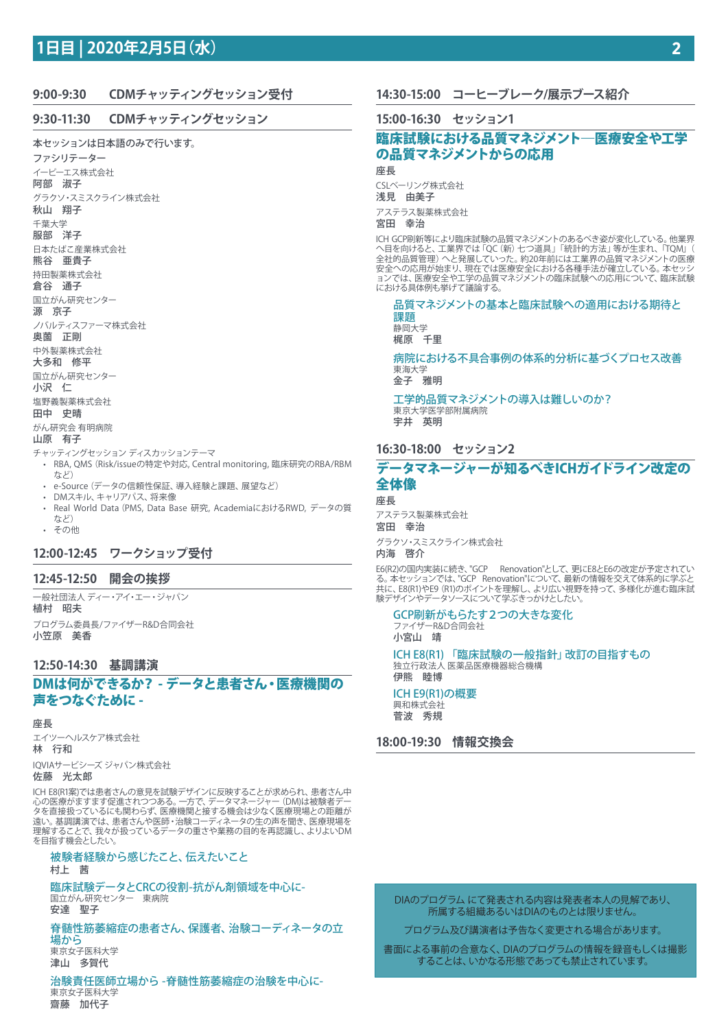## **1日目 | 2020年2月5日(水)**

## **9:00-9:30 CDMチャッティングセッション受付**

#### **9:30-11:30 CDMチャッティングセッション**

本セッションは日本語のみで行います。

ファシリテーター イーピーエス株式会社 阿部 淑子 グラクソ・スミスクライン株式会社 秋山 翔子 千葉大学 服部 洋子 日本たばこ産業株式会社 熊谷 亜貴子 持田製薬株式会社 倉谷 通子 国立がん研究センター 源 京子 ノバルティスファーマ株式会社 奥薗 正剛 中外製薬株式会社 大多和 修平 国立がん研究センター 小沢 仁 塩野義製薬株式会社 田中 史晴 がん研究会 有明病院

#### 山原 有子

チャッティングセッション ディスカッションテーマ

- RBA, QMS(Risk/issueの特定や対応, Central monitoring, 臨床研究のRBA/RBM など)
- e-Source(データの信頼性保証、導入経験と課題、展望など)
- DMスキル、キャリアパス、将来像
- Real World Data(PMS, Data Base 研究, AcademiaにおけるRWD, データの質 など) • その他

## **12:00-12:45 ワークショップ受付**

#### **12:45-12:50 開会の挨拶**

一般社団法人 ディー・アイ・エー・ジャパン 植村 昭夫 プログラム委員長/ファイザーR&D合同会社 小笠原 美香

#### **12:50-14:30 基調講演**

DMは何ができるか? - データと患者さん・医療機関の 声をつなぐために -

#### 座長

エイツーヘルスケア株式会社 林 行和 IQVIAサービシーズ ジャパン株式会社

#### 佐藤 光太郎

ICH E8(R1案)では患者さんの意見を試験デザインに反映することが求められ、患者さん中 心の医療がますます促進されつつある。一方で、データマネージャー(DM)は被験者デー タを直接扱っているにも関わらず、医療機関と接する機会は少なく医療現場との距離が 遠い。基調講演では、患者さんや医師・治験コーディネータの生の声を聞き、医療現場を 理解することで、我々が扱っているデータの重さや業務の目的を再認識し、よりよいDM を目指す機会としたい。

## 被験者経験から感じたこと、伝えたいこと

村上 茜

臨床試験データとCRCの役割-抗がん剤領域を中心に-国立がん研究センター 東病院 安達 聖子

脊髄性筋萎縮症の患者さん、保護者、治験コーディネータの立 場から

東京女子医科大学 津山 多賀代

治験責任医師立場から -脊髄性筋萎縮症の治験を中心に-東京女子医科大学 齋藤 加代子

## **14:30-15:00 コーヒーブレーク/展示ブース紹介**

#### **15:00-16:30 セッション1**

## 臨床試験における品質マネジメント―医療安全や工学 の品質マネジメントからの応用

座長

CSLベーリング株式会社 浅見 由美子

アステラス製薬株式会社 宮田 幸治

ICH GCP刷新等により臨床試験の品質マネジメントのあるべき姿が変化している。他業界 へ目を向けると、工業界では「QC(新)七つ道具」「統計的方法」等が生まれ、「TQM」( 全社的品質管理)へと発展していった。約20年前には工業界の品質マネジメントの医療 安全への応用が始まり、現在では医療安全における各種手法が確立している。本セッシ ョンでは、医療安全や工学の品質マネジメントの臨床試験への応用について、臨床試験 における具体例も挙げて議論する。

品質マネジメントの基本と臨床試験への適用における期待と 課題

静岡大学 梶原 千里

病院における不具合事例の体系的分析に基づくプロセス改善 東海大学

金子 雅明

工学的品質マネジメントの導入は難しいのか? 東京大学医学部附属病院 宇井 英明

## **16:30-18:00 セッション2**

## データマネージャーが知るべきICHガイドライン改定の 全体像

座長

アステラス製薬株式会社 宮田 幸治 グラクソ・スミスクライン株式会社

## 内海 啓介

E6(R2)の国内実装に続き、"GCP Renovation"として、更にE8とE6の改定が予定されて る。本セッションでは、"GCP Renovation"について、最新の情報を交えて体系的に学ぶと 共に、E8(R1)やE9 (R1)のボイントを理解し、より広い視野を持って、多様化が進む臨床試 験デザインやデータソースについて学ぶきっかけとしたい。

## GCP刷新がもらたす2つの大きな変化

ファイザーR&D合同会社 小宮山 靖 ICH E8(R1) 「臨床試験の一般指針」改訂の目指すもの 独立行政法人 医薬品医療機器総合機構 伊熊 睦博 ICH E9(R1)の概要 興和株式会社 菅波 秀規

#### **18:00-19:30 情報交換会**

DIAのプログラム にて発表される内容は発表者本人の見解であり、 所属する組織あるいはDIAのものとは限りません。

プログラム及び講演者は予告なく変更される場合があります。

書面による事前の合意なく、DIAのプログラムの情報を録音もしくは撮影 することは、いかなる形態であっても禁止されています。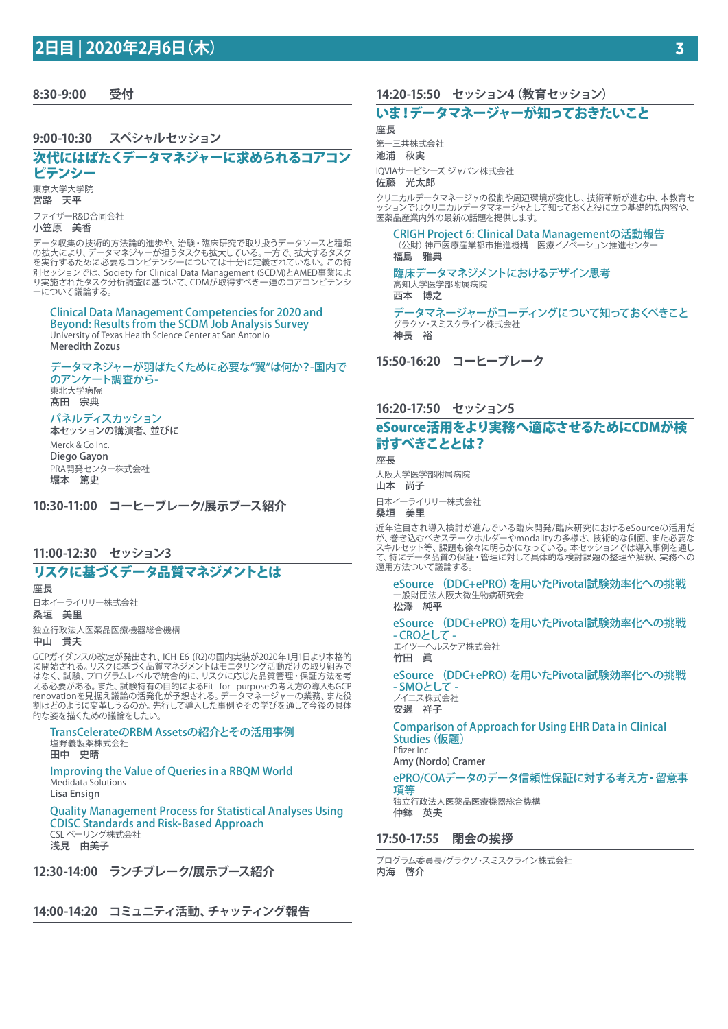**8:30-9:00 受付**

#### **9:00-10:30 スペシャルセッション**

## 次代にはばたくデータマネジャーに求められるコアコン

ピテンシー 東京大学大学院

宮路 天平

ファイザーR&D合同会社

#### 小笠原 美香

データ収集の技術的方法論的進歩や、治験・臨床研究で取り扱うデータソースと種類 の拡大により、データマネジャーが担うタスクも拡大している。一方で、拡大するタスク を実行するために必要なコンピテンシーについては十分に定義されていない。この特 別セッションでは、Society for Clinical Data Management (SCDM)とAMED事業によ り実施されたタスク分析調査に基づいて、CDMが取得すべき一連のコアコンピテンシ - 、。。。。。。。。。。。。。<br>- について議論する。

#### Clinical Data Management Competencies for 2020 and Beyond: Results from the SCDM Job Analysis Survey

University of Texas Health Science Center at San Antonio Meredith Zozus

#### データマネジャーが羽ばたくために必要な"翼"は何か?-国内で のアンケート調査から-東北大学病院

髙田 宗典

#### パネルディスカッション

本セッションの講演者、並びに Merck & Co Inc. Diego Gayon PRA開発センター株式会社 堀本 篤史

**10:30-11:00 コーヒーブレーク/展示ブース紹介**

## **11:00-12:30 セッション3**

## リスクに基づくデータ品質マネジメントとは

座長 日本イーライリリー株式会社 桑垣 美里 独立行政法人医薬品医療機器総合機構

中山 貴夫

GCPガイダンスの改定が発出され、ICH E6 (R2)の国内実装が2020年1月1日より本格的 に開始される。リスクに基づく品質マネジメントはモニタリング活動だけの取り組みで はなく、試験、プログラムレベルで統合的に、リスクに応じた品質管理・保証方法を考 える必要がある。また、試験特有の目的によるFit for purposeの考え方の導入もGCP renovationを見据え議論の活発化が予想される。データマネージャーの業務、また役 割はどのように変革しうるのか。先行して導入した事例やその学びを通して今後の具体 的な姿を描くための議論をしたい。

#### TransCelerateのRBM Assetsの紹介とその活用事例 塩野義製薬株式会社 田中 史晴

Improving the Value of Queries in a RBQM World Medidata Solutions Lisa Ensign

Quality Management Process for Statistical Analyses Using CDISC Standards and Risk-Based Approach CSL ベーリング株式会社 浅見 由美子

**12:30-14:00 ランチブレーク/展示ブース紹介**

**14:00-14:20 コミュニティ活動、チャッティング報告**

## **14:20-15:50 セッション4(教育セッション)**

## いま!データマネージャーが知っておきたいこと

座長

第一三共株式会社

池浦 秋実

IQVIAサービシーズ ジャパン株式会社 佐藤 光太郎

クリニカルデータマネージャの役割や周辺環境が変化し、技術革新が進む中、本教育セ ッションではクリニカルデータマネージャとして知っておくと役に立つ基礎的な内容や、 医薬品産業内外の最新の話題を提供します。

CRIGH Project 6: Clinical Data Managementの活動報告 (公財)神戸医療産業都市推進機構 医療イノベーション推進センタ 福島 雅典

臨床データマネジメントにおけるデザイン思考 高知大学医学部附属病院 西本 博之

データマネージャーがコーディングについて知っておくべきこと グラクソ・スミスクライン株式会社 神長 裕

**15:50-16:20 コーヒーブレーク**

#### **16:20-17:50 セッション5**

## eSource活用をより実務へ適応させるためにCDMが検 討すべきこととは?

座長 大阪大学医学部附属病院 山本 尚子 日本イーライリリー株式会社

桑垣 美里

近年注目され導入検討が進んでいる臨床開発/臨床研究におけるeSourceの活用だ が、巻き込むべきステークホルダーやmodalityの多様さ、技術的な側面、また必要な スキルセット等、課題も徐々に明らかになっている。本セッションでは導入事例を通し て、特にデータ品質の保証・管理に対して具体的な検討課題の整理や解釈、実務への 適用方法ついて議論する。

eSource (DDC+ePRO)を用いたPivotal試験効率化への挑戦 ー般財団法人阪大微生物病研究会 松澤 純平

eSource (DDC+ePRO)を用いたPivotal試験効率化への挑戦 - CROとして -

エイツーヘルスケア株式会社 竹田 眞

eSource (DDC+ePRO)を用いたPivotal試験効率化への挑戦 - SMOとして -

ノイエス株式会社 安邊 祥子

Comparison of Approach for Using EHR Data in Clinical Studies(仮題) Pfizer Inc.

Amy (Nordo) Cramer

#### ePRO/COAデータのデータ信頼性保証に対する考え方・留意事 項等

独立行政法人医薬品医療機器総合機構 仲鉢 英夫

#### **17:50-17:55 閉会の挨拶**

プログラム委員長/グラクソ・スミスクライン株式会社 内海 啓介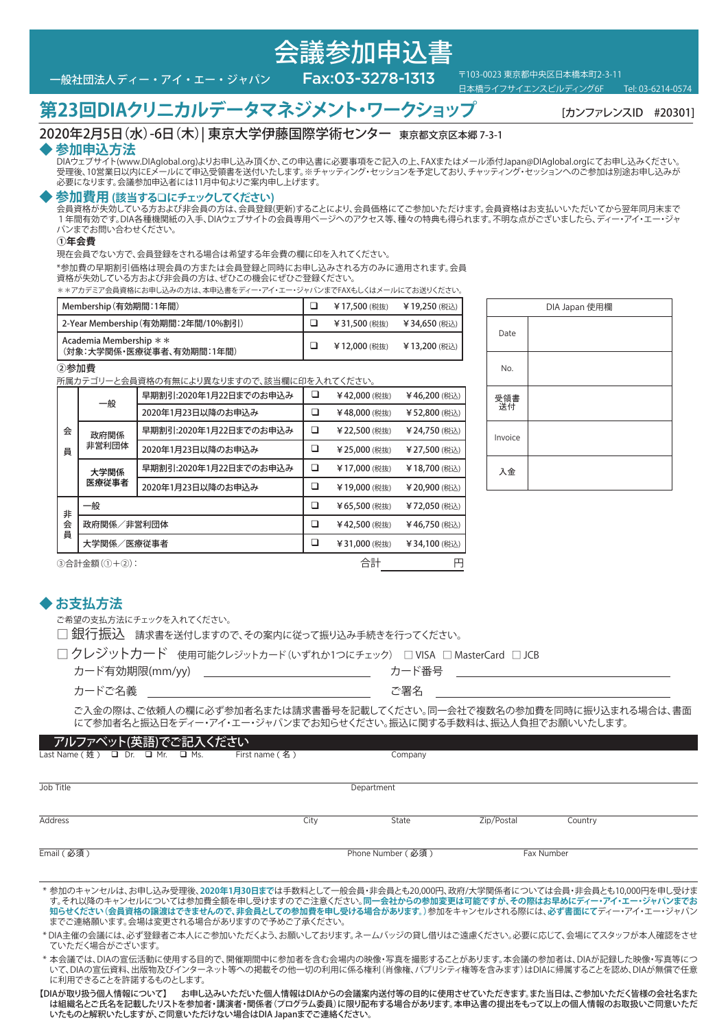

日本橋ライフサイエンスビルディング6F

**第23回DIAクリニカルデータマネジメント・ワークショップ** [カンファレンスID #20301]

## 2020年2月5日(水)-6日(木)| 東京大学伊藤国際学術センター 東京都文京区本郷 7-3-1

## **◆ 参加申込方法**

DIAウェブサイト(www.DIAglobal.org)よりお申し込み頂くか、この申込書に必要事項をご記入の上、FAXまたはメール添付Japan@DIAglobal.orgにてお申し込みください。 受理後、10営業日以内にEメールにて申込受領書を送付いたします。※チャッティング・セッションを予定しており、チャッティング・セッションへのご参加は別途お申し込みが 必要になります。会議参加申込者には11月中旬よりご案内申し上げます。、チ

会議参加申込書

#### **◆ 参加費用 (該当する**q**にチェックしてください)**

会員資格が失効している方および非会員の方は、会員登録(更新)することにより、会員価格にてご参加いただけます。会員資格はお支払いいただいてから翌年同月末まで 1年間有効です。DIA各種機関紙の入手、DIAウェブサイトの会員専用ページへのアクセス等、種々の特典も得られます。不明な点がございましたら、ディー・アイ・エー・ジャ パンまでお問い合わせください。

#### **①年会費**

現在会員でない方で、会員登録をされる場合は希望する年会費の欄に印を入れてください。

\*参加費の早期割引価格は現会員の方または会員登録と同時にお申し込みされる方のみに適用されます。会員 資格が失効している方および非会員の方は、ぜひこの機会にぜひご登録ください。

\*\*アカデミア会員資格にお申し込みの方は、本申込書をディー・アイ・エー・ジャパンまでFAXもしくはメールにてお送りください。

| Membership(有効期間:1年間)                                  | ¥17,500 (税抜)  | ¥19,250 (税込) |
|-------------------------------------------------------|---------------|--------------|
| 2-Year Membership (有効期間:2年間/10%割引)                    | ¥ 31,500 (税抜) | ¥34,650 (税込) |
| Academia Membership $* *$<br>(対象:大学関係・医療従事者、有効期間:1年間) | ¥12,000 (税抜)  | ¥13,200 (税込) |

②参加費

所属カテゴリーと会員資格の有無により異なりますので、該当欄に印を入れてください。

|   | 一般          | 早期割引:2020年1月22日までのお申込み | □ | ¥42,000 (税抜)  | ¥46,200 (税込)  |
|---|-------------|------------------------|---|---------------|---------------|
|   |             | 2020年1月23日以降のお申込み      | ❏ | ¥48,000 (税抜)  | ¥52,800 (税込)  |
| 会 | 政府関係        | 早期割引:2020年1月22日までのお申込み | ⊔ | ¥ 22,500 (税抜) | ¥ 24,750 (税込) |
| 員 | 非営利団体       | 2020年1月23日以降のお申込み      | ❏ | ¥ 25,000 (税抜) | ¥27,500 (税込)  |
|   | 大学関係        | 早期割引:2020年1月22日までのお申込み | ⊔ | ¥17,000 (税抜)  | ¥18,700 (税込)  |
|   | 医療従事者       | 2020年1月23日以降のお申込み      | ❏ | ¥19,000 (税抜)  | ¥ 20,900 (税込) |
| 非 | 一般          |                        |   | ¥65,500 (税抜)  | ¥72,050 (税込)  |
| 会 | 政府関係/非営利団体  |                        | ❏ | ¥42,500 (税抜)  | ¥46,750 (税込)  |
| 員 | 大学関係/医療従事者  |                        | ❏ | ¥31,000 (税抜)  | ¥34,100 (税込)  |
|   | ③会計全額(①+②), |                        |   | 合計            | 円             |

|           | DIA Japan 使用欄 |  |  |  |  |  |
|-----------|---------------|--|--|--|--|--|
| Date      |               |  |  |  |  |  |
| No.       |               |  |  |  |  |  |
| 受領書<br>送付 |               |  |  |  |  |  |
| Invoice   |               |  |  |  |  |  |
| 入金        |               |  |  |  |  |  |

)合計金額(①+②)

#### **◆ お支払方法**

ご希望の支払方法にチェックを入れてください。

□ 銀行振込 請求書を送付しますので、その案内に従って振り込み手続きを行ってください。

|  |  | □ クレジットカード (使用可能クレジットカード(いずれか1つにチェック) □ VISA □ MasterCard □ JCB |  |  |  |
|--|--|-----------------------------------------------------------------|--|--|--|
|--|--|-----------------------------------------------------------------|--|--|--|

| カード有効期限(mm/yy) | ・台一 |  |
|----------------|-----|--|
|----------------|-----|--|

ご入金の際は、ご依頼人の欄に必ず参加者名または請求書番号を記載してください。同一会社で複数名の参加費を同時に振り込まれる場合は、書面 にて参加者名と振込日をディー・アイ・エー・ジャパンまでお知らせください。振込に関する手数料は、振込人負担でお願いいたします。

#### アルファベット(英語)でご記入ください

| Last Name (姓) 口 Dr. 口 Mr. 口 Ms. |  | First name (名) | Company           |            |            |  |
|---------------------------------|--|----------------|-------------------|------------|------------|--|
|                                 |  |                |                   |            |            |  |
| Job Title                       |  |                | Department        |            |            |  |
| <b>Address</b>                  |  | City           | State             | Zip/Postal | Country    |  |
| Email (必須)                      |  |                | Phone Number (必須) |            | Fax Number |  |

\* 参加のキャンセルは、お申し込み受理後、**2020年1月30日まで**は手数料として一般会員・非会員とも20,000円、政府/大学関係者については会員・非会員とも10,000円を申し受けま す。それ以降のキャンセルについては参加費全額を申し受けますのでご注意ください。**同一会社からの参加変更は可能ですが、その際はお早めにディー・アイ・エー・ジャパンまでお 知らせください(会員資格の譲渡はできませんので、非会員としての参加費を申し受ける場合があります。)**参加をキャンセルされる際には、**必ず書面にて**ディー・アイ・エー・ジャパン までご連絡願います。会場は変更される場合がありますので予めご了承ください。

\* DIA主催の会議には、必ず登録者ご本人にご参加いただくよう、お願いしております。ネームバッジの貸し借りはご遠慮ください。必要に応じて、会場にてスタッフが本人確認をさせ ていただく場合がございます。

\* 本会議では、DIAの宣伝活動に使用する目的で、開催期間中に参加者を含む会場内の映像・写真を撮影することがあります。本会議の参加者は、DIAが記録した映像・写真等につ いて、DIAの宣伝資料、出版物及びインターネット等への掲載その他一切の利用に係る権利(肖像権、パブリシティ権等を含みます)はDIAに帰属することを認め、DIAが無償で任意 に利用できることを許諾するものとします。

【DIAが取り扱う個人情報について】 お申し込みいただいた個人情報はDIAからの会議案内送付等の目的に使用させていただきます。また当日は、ご参加いただく皆様の会社名また は組織名とご氏名を記載したリストを参加者・講演者・関係者(プログラム委員)に限り配布する場合があります。本申込書の提出をもって以上の個人情報のお取扱いご同意いただ いたものと解釈いたしますが、ご同意いただけない場合はDIA Japanまでご連絡ください。